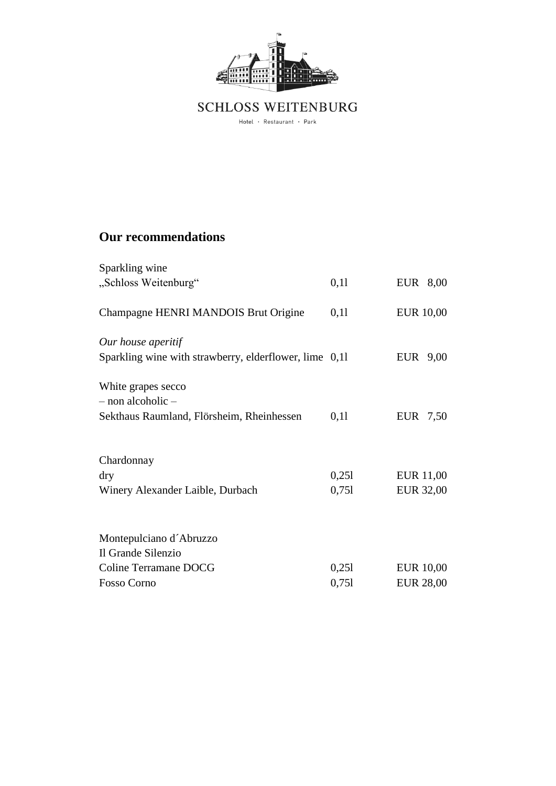

 $\begin{minipage}{.4\linewidth} \emph{Hotel $\cdot$ Restaurent $\cdot$ Park} \end{minipage}$ 

## **Our recommendations**

| Sparkling wine                                                                       |                |                                      |
|--------------------------------------------------------------------------------------|----------------|--------------------------------------|
| "Schloss Weitenburg"                                                                 | 0,11           | EUR 8,00                             |
| Champagne HENRI MANDOIS Brut Origine                                                 | 0,11           | <b>EUR 10,00</b>                     |
| Our house aperitif<br>Sparkling wine with strawberry, elderflower, lime 0,11         |                | EUR 9,00                             |
| White grapes secco<br>- non alcoholic -<br>Sekthaus Raumland, Flörsheim, Rheinhessen | 0,11           | EUR 7,50                             |
| Chardonnay<br>dry<br>Winery Alexander Laible, Durbach                                | 0,251<br>0,751 | <b>EUR 11,00</b><br><b>EUR 32,00</b> |
| Montepulciano d'Abruzzo<br>Il Grande Silenzio<br>Coline Terramane DOCG               | 0,251          | <b>EUR 10,00</b>                     |
| <b>Fosso Corno</b>                                                                   | 0,751          | <b>EUR 28,00</b>                     |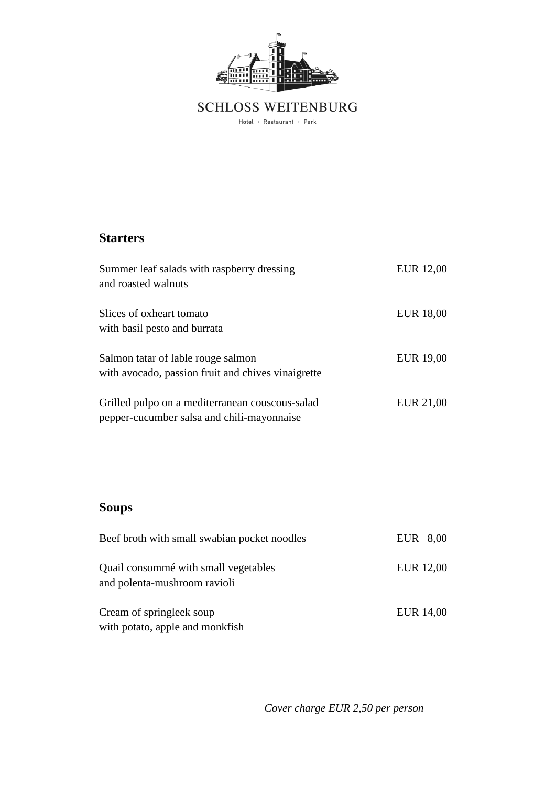

 $\begin{minipage}{.4\linewidth} \emph{Hotel $\cdot$ Restaurent $\cdot$ Park} \end{minipage}$ 

#### **Starters**

| Summer leaf salads with raspberry dressing<br>and roasted walnuts                             | <b>EUR</b> 12,00 |
|-----------------------------------------------------------------------------------------------|------------------|
| Slices of oxheart tomato<br>with basil pesto and burrata                                      | EUR 18,00        |
| Salmon tatar of lable rouge salmon<br>with avocado, passion fruit and chives vinaigrette      | EUR 19,00        |
| Grilled pulpo on a mediterranean couscous-salad<br>pepper-cucumber salsa and chili-mayonnaise | EUR 21,00        |

# **Soups**

| Beef broth with small swabian pocket noodles                         | EUR 8,00  |
|----------------------------------------------------------------------|-----------|
| Quail consommé with small vegetables<br>and polenta-mushroom ravioli | EUR 12,00 |
| Cream of springleek soup<br>with potato, apple and monkfish          | EUR 14,00 |

*Cover charge EUR 2,50 per person*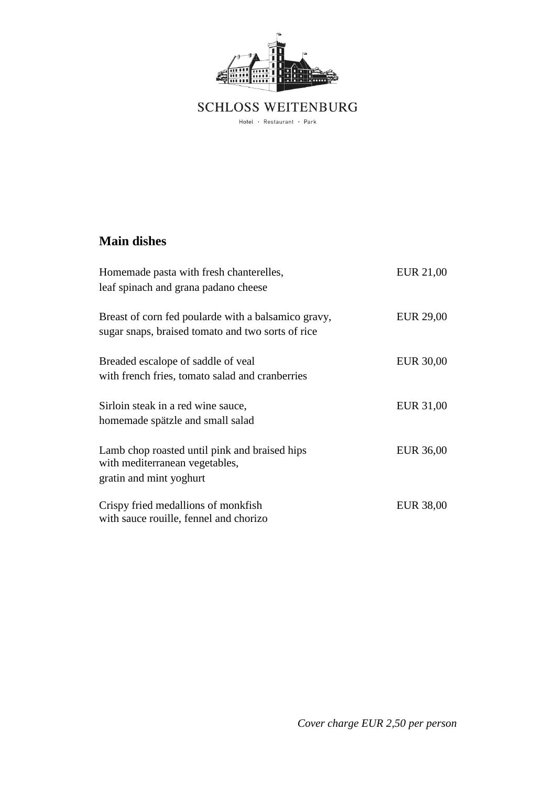

 $\begin{minipage}{.4\linewidth} \emph{Hotel $\cdot$ Restaurent $\cdot$ Park} \end{minipage}$ 

### **Main dishes**

| Homemade pasta with fresh chanterelles,<br>leaf spinach and grana padano cheese                            | EUR 21,00        |
|------------------------------------------------------------------------------------------------------------|------------------|
| Breast of corn fed poularde with a balsamico gravy,<br>sugar snaps, braised tomato and two sorts of rice   | EUR 29,00        |
| Breaded escalope of saddle of yeal<br>with french fries, tomato salad and cranberries                      | <b>EUR 30,00</b> |
| Sirloin steak in a red wine sauce,<br>homemade spätzle and small salad                                     | EUR 31,00        |
| Lamb chop roasted until pink and braised hips<br>with mediterranean vegetables,<br>gratin and mint yoghurt | EUR 36,00        |
| Crispy fried medallions of monkfish<br>with sauce rouille, fennel and chorizo                              | EUR 38,00        |

*Cover charge EUR 2,50 per person*